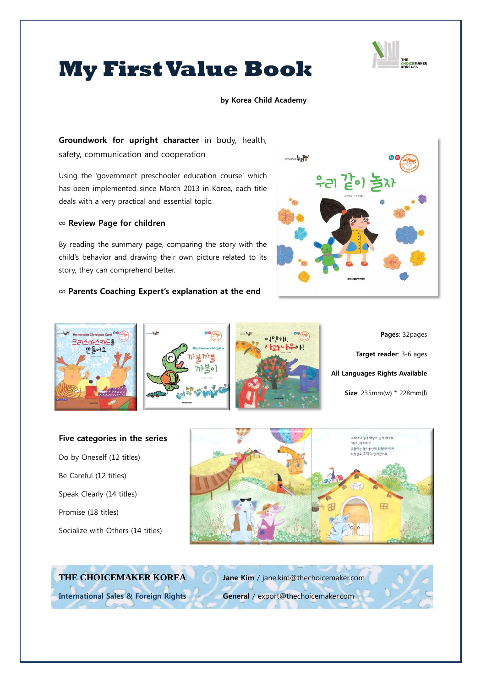

# **My First Value Book**

#### by Korea Child Academy

Groundwork for upright character in body, health, safety, communication and cooperation

Using the 'government preschooler education course' which has been implemented since March 2013 in Korea, each title deals with a very practical and essential topic.

### ∞ Review Page for children

By reading the summary page, comparing the story with the child's behavior and drawing their own picture related to its story, they can comprehend better.

### ∞ Parents Coaching Expert's explanation at the end









Pages: 32pages Target reader: 3-6 ages All Languages Rights Available Size: 235mm(w) \* 228mm(l)

# Five categories in the series

Do by Oneself (12 titles) Be Careful (12 titles) Speak Clearly (14 titles) Promise (18 titles) Socialize with Others (14 titles)



# **THE CHOICEMAKER KOREA** Jane Kim / jane.kim@thechoicemaker.com

International Sales & Foreign Rights General / export@thechoicemaker.com